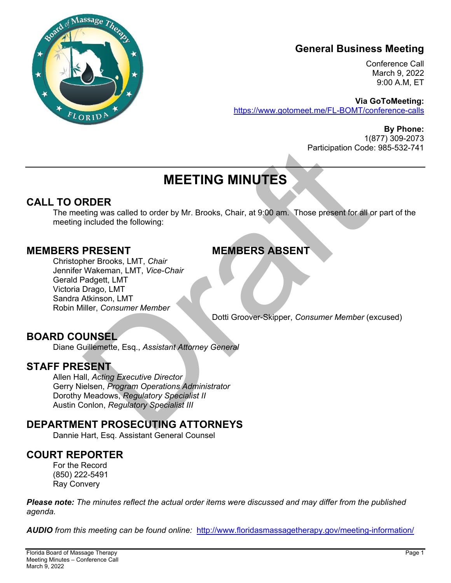

## **General Business Meeting**

Conference Call March 9, 2022 9:00 A.M, ET

**Via GoToMeeting:**  https://www.gotomeet.me/FL-BOMT/conference-calls

> **By Phone:**  1(877) 309-2073 Participation Code: 985-532-741

# **MEETING MINUTES**

## **CALL TO ORDER**

The meeting was called to order by Mr. Brooks, Chair, at 9:00 am. Those present for all or part of the meeting included the following:

## **MEMBERS PRESENT MEMBERS ABSENT**

Participation Code<br>
MEETING MINUTES<br>
RDER<br>
RUDER<br>
RUDER<br>
RUDER<br>
DRESENT<br>
PRESENT<br>
MEMBERS ABSENT<br>
MEMBERS ABSENT<br>
MEMBERS ABSENT<br>
Wakeman, LMT, *Vice-Chair*<br>
Wakeman, LMT, *Vice-Chair*<br>
Drago, LMT<br>
Drago, LMT<br>
Drago, LMT<br> Christopher Brooks, LMT, *Chair*  Jennifer Wakeman, LMT, *Vice-Chair*  Gerald Padgett, LMT Victoria Drago, LMT Sandra Atkinson, LMT Robin Miller, *Consumer Member* 

Dotti Groover-Skipper, *Consumer Member* (excused)

## **BOARD COUNSEL**

Diane Guillemette, Esq., *Assistant Attorney General*

## **STAFF PRESENT**

Allen Hall, *Acting Executive Director*  Gerry Nielsen, *Program Operations Administrator*  Dorothy Meadows, *Regulatory Specialist II*  Austin Conlon, *Regulatory Specialist III* 

## **DEPARTMENT PROSECUTING ATTORNEYS**

Dannie Hart, Esq. Assistant General Counsel

## **COURT REPORTER**

For the Record (850) 222-5491 Ray Convery

*Please note: The minutes reflect the actual order items were discussed and may differ from the published agenda.* 

*AUDIO from this meeting can be found online:* http://www.floridasmassagetherapy.gov/meeting-information/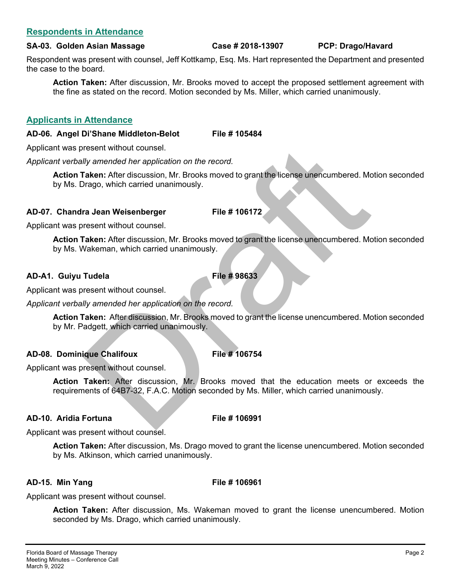## **Respondents in Attendance**

#### **SA-03. Golden Asian Massage Case # 2018-13907 PCP: Drago/Havard**

Respondent was present with counsel, Jeff Kottkamp, Esq. Ms. Hart represented the Department and presented the case to the board.

**Action Taken:** After discussion, Mr. Brooks moved to accept the proposed settlement agreement with the fine as stated on the record. Motion seconded by Ms. Miller, which carried unanimously.

### **Applicants in Attendance**

### **AD-06. Angel Di'Shane Middleton-Belot File # 105484**

Applicant was present without counsel.

*Applicant verbally amended her application on the record.* 

The Hill of Course of the application on the record.<br>
Ily amended her application on the record.<br>
Taken: After discussion, Mr. Brooks moved to grant the license unencumbered. Mc<br>
Drago, which carried unanimously.<br>
Taken: A **Action Taken:** After discussion, Mr. Brooks moved to grant the license unencumbered. Motion seconded by Ms. Drago, which carried unanimously.

### **AD-07. Chandra Jean Weisenberger File # 106172**

Applicant was present without counsel.

**Action Taken:** After discussion, Mr. Brooks moved to grant the license unencumbered. Motion seconded by Ms. Wakeman, which carried unanimously.

### **AD-A1. Guiyu Tudela File # 98633**

Applicant was present without counsel.

*Applicant verbally amended her application on the record.* 

**Action Taken:** After discussion, Mr. Brooks moved to grant the license unencumbered. Motion seconded by Mr. Padgett, which carried unanimously.

## AD-08. Dominique Chalifoux File # 106754

Applicant was present without counsel.

**Action Taken:** After discussion, Mr. Brooks moved that the education meets or exceeds the requirements of 64B7-32, F.A.C. Motion seconded by Ms. Miller, which carried unanimously.

## **AD-10. Aridia Fortuna File # 106991**

Applicant was present without counsel.

**Action Taken:** After discussion, Ms. Drago moved to grant the license unencumbered. Motion seconded by Ms. Atkinson, which carried unanimously.

#### **AD-15. Min Yang The Example 20 File # 106961**

Applicant was present without counsel.

**Action Taken:** After discussion, Ms. Wakeman moved to grant the license unencumbered. Motion seconded by Ms. Drago, which carried unanimously.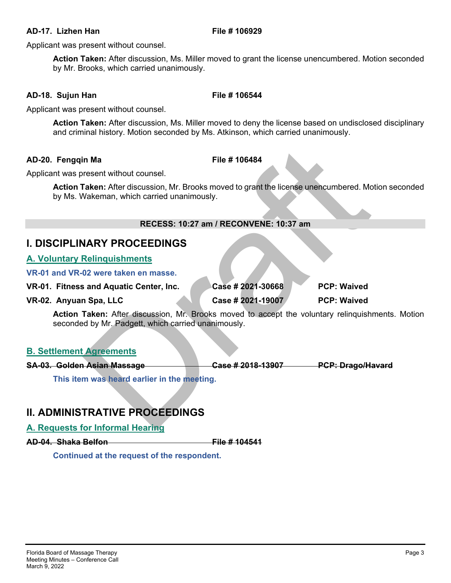### **AD-17. Lizhen Han File # 106929**

Applicant was present without counsel.

**Action Taken:** After discussion, Ms. Miller moved to grant the license unencumbered. Motion seconded by Mr. Brooks, which carried unanimously.

## **AD-18. Sujun Han File # 106544**

Applicant was present without counsel.

**Action Taken:** After discussion, Ms. Miller moved to deny the license based on undisclosed disciplinary and criminal history. Motion seconded by Ms. Atkinson, which carried unanimously.

## **AD-20. Fenggin Ma** File # 106484

**Action Taken:** After discussion, Mr. Brooks moved to grant the license unencumbered. Motion seconded by Ms. Wakeman, which carried unanimously.

### **RECESS: 10:27 am / RECONVENE: 10:37 am**

## **I. DISCIPLINARY PROCEEDINGS**

## **A. Voluntary Relinquishments**

| AD-20. Fengqin Ma                                                                                                                           | File # 106484                          |                    |
|---------------------------------------------------------------------------------------------------------------------------------------------|----------------------------------------|--------------------|
| Applicant was present without counsel.                                                                                                      |                                        |                    |
| Action Taken: After discussion, Mr. Brooks moved to grant the license unencumbered. Mo<br>by Ms. Wakeman, which carried unanimously.        |                                        |                    |
|                                                                                                                                             | RECESS: 10:27 am / RECONVENE: 10:37 am |                    |
| <b>I. DISCIPLINARY PROCEEDINGS</b>                                                                                                          |                                        |                    |
| <b>A. Voluntary Relinquishments</b>                                                                                                         |                                        |                    |
| VR-01 and VR-02 were taken en masse.                                                                                                        |                                        |                    |
| VR-01. Fitness and Aquatic Center, Inc.                                                                                                     | Case # 2021-30668                      | <b>PCP: Waived</b> |
| VR-02. Anyuan Spa, LLC                                                                                                                      | Case # 2021-19007                      | <b>PCP: Waived</b> |
| Action Taken: After discussion, Mr. Brooks moved to accept the voluntary relinquishr<br>seconded by Mr. Padgett, which carried unanimously. |                                        |                    |
| <b>B. Settlement Agreements</b>                                                                                                             |                                        |                    |
| SA-03. Golden Asian Massage                                                                                                                 | Case # 2018-13907 PCP: Drago/Ha        |                    |
| This item was heard earlier in the meeting.                                                                                                 |                                        |                    |
| <b>II. ADMINISTRATIVE PROCEEDINGS</b>                                                                                                       |                                        |                    |
| A. Requests for Informal Hearing                                                                                                            |                                        |                    |

**Action Taken:** After discussion, Mr. Brooks moved to accept the voluntary relinquishments. Motion seconded by Mr. Padgett, which carried unanimously.

## **B. Settlement Agreements**

**SA-03. Golden Asian Massage Case # 2018-13907 PCP: Drago/Havard** 

## **II. ADMINISTRATIVE PROCEEDINGS**

## **A. Requests for Informal Hearing**

**AD-04. Shaka Belfon File # 104541** 

 **Continued at the request of the respondent.**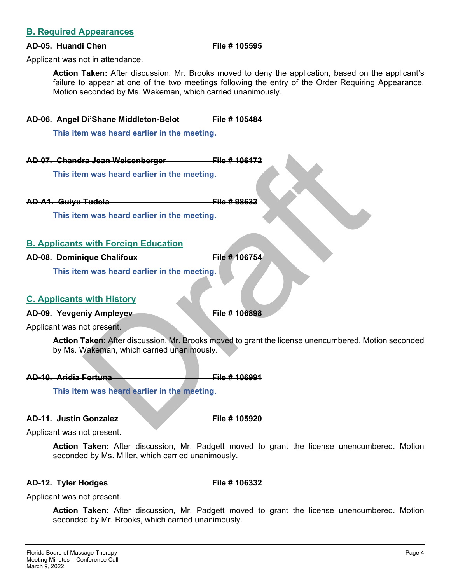## **B. Required Appearances**

### **AD-05. Huandi Chen File # 105595**

Applicant was not in attendance.

**Action Taken:** After discussion, Mr. Brooks moved to deny the application, based on the applicant's failure to appear at one of the two meetings following the entry of the Order Requiring Appearance. Motion seconded by Ms. Wakeman, which carried unanimously.

**AD-06. Angel Di'Shane Middleton-Belot File # 105484** 

 **This item was heard earlier in the meeting.** 

**AD-07. Chandra Jean Weisenberger File # 106172** 

 **This item was heard earlier in the meeting.** 

**AD-A1. Guiyu Tudela File # 98633** 

 **This item was heard earlier in the meeting.** 

## **B. Applicants with Foreign Education**

**AD-08. Dominique Chalifoux File # 106754** 

 **This item was heard earlier in the meeting.** 

## **C. Applicants with History**

## AD-09. Yevgeniy Ampleyev File # 106898

Applicant was not present.

File # 106172<br>
m was heard earlier in the meeting.<br>
Tudela<br>
Tudela<br>
m was heard earlier in the meeting.<br>
With Foreign Education<br>
investigations<br>
m was heard earlier in the meeting.<br>
With History<br>
with History<br>
investigatio **Action Taken:** After discussion, Mr. Brooks moved to grant the license unencumbered. Motion seconded by Ms. Wakeman, which carried unanimously.

**AD-10. Aridia Fortuna File # 106991** 

 **This item was heard earlier in the meeting.** 

## **AD-11. Justin Gonzalez File # 105920**

Applicant was not present.

**Action Taken:** After discussion, Mr. Padgett moved to grant the license unencumbered. Motion seconded by Ms. Miller, which carried unanimously.

## **AD-12. Tyler Hodges File # 106332**

Applicant was not present.

**Action Taken:** After discussion, Mr. Padgett moved to grant the license unencumbered. Motion seconded by Mr. Brooks, which carried unanimously.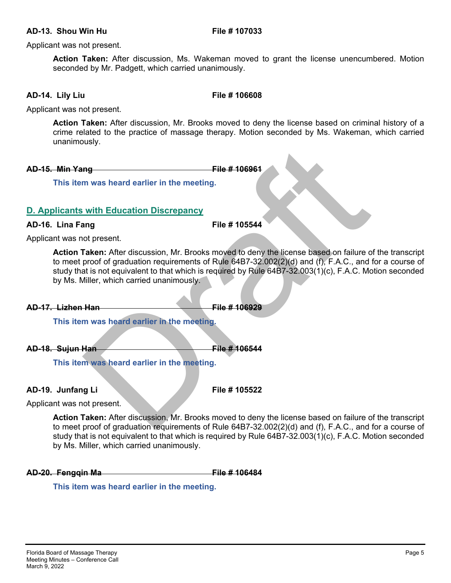#### **AD-13. Shou Win Hu File # 107033**

Applicant was not present.

**Action Taken:** After discussion, Ms. Wakeman moved to grant the license unencumbered. Motion seconded by Mr. Padgett, which carried unanimously.

### **AD-14. Lily Liu File # 106608**

Applicant was not present.

**Action Taken:** After discussion, Mr. Brooks moved to deny the license based on criminal history of a crime related to the practice of massage therapy. Motion seconded by Ms. Wakeman, which carried unanimously.

**AD-15. Min Yang The Contract Contract AD-15. Min Yang The AD-15. Min Yang The AD-15. Angle** 

 **This item was heard earlier in the meeting.** 

## **D. Applicants with Education Discrepancy**

### **AD-16. Lina Fang File # 105544**

Applicant was not present.

File # 106961<br>
In was heard earlier in the meeting.<br>
The # 105544<br>
not present.<br>
Interdiscussion, Mr. Brooks moved to deny the license based on failure<br>
roof of graduation requirements of Rule 64B7-32.002(2)(d) and (f), F. **Action Taken:** After discussion, Mr. Brooks moved to deny the license based on failure of the transcript to meet proof of graduation requirements of Rule 64B7-32.002(2)(d) and (f), F.A.C., and for a course of study that is not equivalent to that which is required by Rule 64B7-32.003(1)(c), F.A.C. Motion seconded by Ms. Miller, which carried unanimously.

**AD-17.** Lizhen Han **File # 106929** 

 **This item was heard earlier in the meeting.** 

**AD-18. Sujun Han File # 106544** 

 **This item was heard earlier in the meeting.** 

**AD-19. Junfang Li File # 105522** 

Applicant was not present.

**Action Taken:** After discussion, Mr. Brooks moved to deny the license based on failure of the transcript to meet proof of graduation requirements of Rule 64B7-32.002(2)(d) and (f), F.A.C., and for a course of study that is not equivalent to that which is required by Rule 64B7-32.003(1)(c), F.A.C. Motion seconded by Ms. Miller, which carried unanimously.

**AD-20. Fengqin Ma** File # 106484

 **This item was heard earlier in the meeting.**